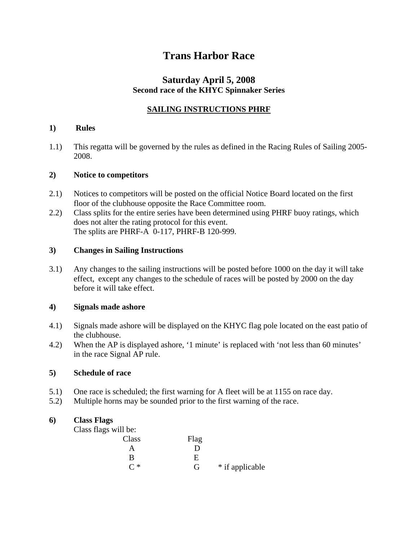# **Trans Harbor Race**

# **Saturday April 5, 2008 Second race of the KHYC Spinnaker Series**

## **SAILING INSTRUCTIONS PHRF**

### **1) Rules**

1.1) This regatta will be governed by the rules as defined in the Racing Rules of Sailing 2005- 2008.

### **2) Notice to competitors**

- 2.1) Notices to competitors will be posted on the official Notice Board located on the first floor of the clubhouse opposite the Race Committee room.
- 2.2) Class splits for the entire series have been determined using PHRF buoy ratings, which does not alter the rating protocol for this event. The splits are PHRF-A 0-117, PHRF-B 120-999.

#### **3) Changes in Sailing Instructions**

3.1) Any changes to the sailing instructions will be posted before 1000 on the day it will take effect, except any changes to the schedule of races will be posted by 2000 on the day before it will take effect.

### **4) Signals made ashore**

- 4.1) Signals made ashore will be displayed on the KHYC flag pole located on the east patio of the clubhouse.
- 4.2) When the AP is displayed ashore, '1 minute' is replaced with 'not less than 60 minutes' in the race Signal AP rule.

### **5) Schedule of race**

- 5.1) One race is scheduled; the first warning for A fleet will be at 1155 on race day.
- 5.2) Multiple horns may be sounded prior to the first warning of the race.

### **6) Class Flags**

Class flags will be:

| _____               |      |                 |
|---------------------|------|-----------------|
| Class               | Flag |                 |
|                     |      |                 |
| R                   | F    |                 |
| $\mathsf{\Gamma}$ * | G    | * if applicable |
|                     |      |                 |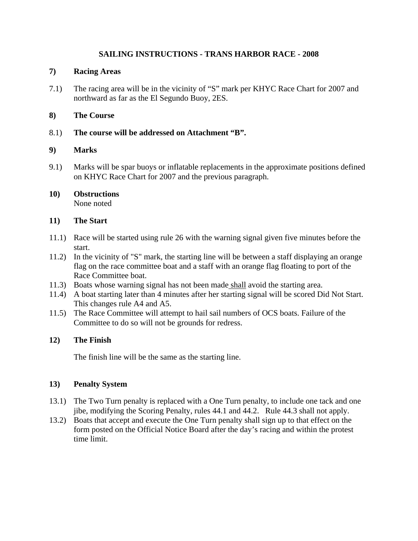### **SAILING INSTRUCTIONS - TRANS HARBOR RACE - 2008**

### **7) Racing Areas**

7.1) The racing area will be in the vicinity of "S" mark per KHYC Race Chart for 2007 and northward as far as the El Segundo Buoy, 2ES.

### **8) The Course**

8.1) **The course will be addressed on Attachment "B".**

### **9) Marks**

9.1) Marks will be spar buoys or inflatable replacements in the approximate positions defined on KHYC Race Chart for 2007 and the previous paragraph.

#### **10) Obstructions**  None noted

### **11) The Start**

- 11.1) Race will be started using rule 26 with the warning signal given five minutes before the start.
- 11.2) In the vicinity of "S" mark, the starting line will be between a staff displaying an orange flag on the race committee boat and a staff with an orange flag floating to port of the Race Committee boat.
- 11.3) Boats whose warning signal has not been made shall avoid the starting area.
- 11.4) A boat starting later than 4 minutes after her starting signal will be scored Did Not Start. This changes rule A4 and A5.
- 11.5) The Race Committee will attempt to hail sail numbers of OCS boats. Failure of the Committee to do so will not be grounds for redress.

### **12) The Finish**

The finish line will be the same as the starting line.

### **13) Penalty System**

- 13.1) The Two Turn penalty is replaced with a One Turn penalty, to include one tack and one jibe, modifying the Scoring Penalty, rules 44.1 and 44.2. Rule 44.3 shall not apply.
- 13.2) Boats that accept and execute the One Turn penalty shall sign up to that effect on the form posted on the Official Notice Board after the day's racing and within the protest time limit.